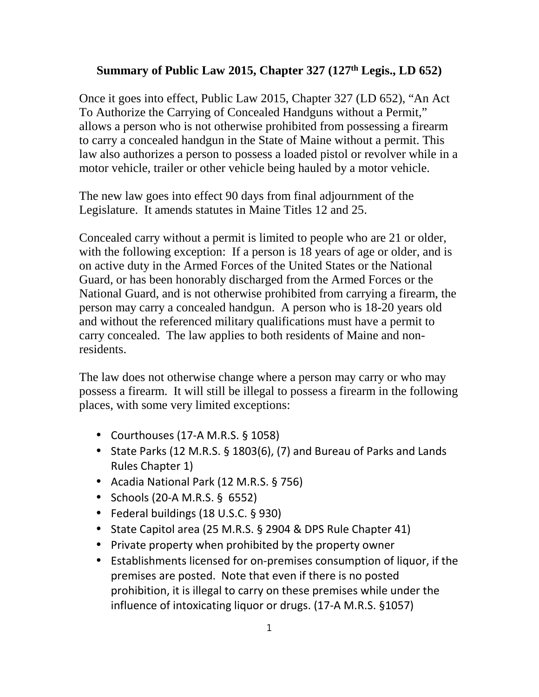## **Summary of Public Law 2015, Chapter 327 (127th Legis., LD 652)**

Once it goes into effect, Public Law 2015, Chapter 327 (LD 652), "An Act To Authorize the Carrying of Concealed Handguns without a Permit," allows a person who is not otherwise prohibited from possessing a firearm to carry a concealed handgun in the State of Maine without a permit. This law also authorizes a person to possess a loaded pistol or revolver while in a motor vehicle, trailer or other vehicle being hauled by a motor vehicle.

The new law goes into effect 90 days from final adjournment of the Legislature. It amends statutes in Maine Titles 12 and 25.

Concealed carry without a permit is limited to people who are 21 or older, with the following exception: If a person is 18 years of age or older, and is on active duty in the Armed Forces of the United States or the National Guard, or has been honorably discharged from the Armed Forces or the National Guard, and is not otherwise prohibited from carrying a firearm, the person may carry a concealed handgun. A person who is 18-20 years old and without the referenced military qualifications must have a permit to carry concealed. The law applies to both residents of Maine and nonresidents.

The law does not otherwise change where a person may carry or who may possess a firearm. It will still be illegal to possess a firearm in the following places, with some very limited exceptions:

- Courthouses (17-A M.R.S. § 1058)
- State Parks (12 M.R.S. § 1803(6), (7) and Bureau of Parks and Lands Rules Chapter 1)
- Acadia National Park (12 M.R.S. § 756)
- Schools (20-A M.R.S. § 6552)
- Federal buildings (18 U.S.C. § 930)
- State Capitol area (25 M.R.S. § 2904 & DPS Rule Chapter 41)
- Private property when prohibited by the property owner
- Establishments licensed for on-premises consumption of liquor, if the premises are posted. Note that even if there is no posted prohibition, it is illegal to carry on these premises while under the influence of intoxicating liquor or drugs. (17-A M.R.S. §1057)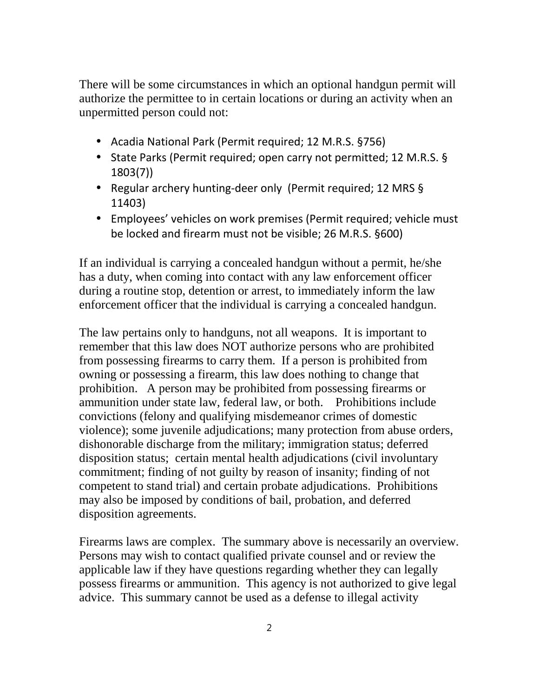There will be some circumstances in which an optional handgun permit will authorize the permittee to in certain locations or during an activity when an unpermitted person could not:

- Acadia National Park (Permit required; 12 M.R.S. §756)
- State Parks (Permit required; open carry not permitted; 12 M.R.S. § 1803(7))
- Regular archery hunting-deer only (Permit required; 12 MRS § 11403)
- Employees' vehicles on work premises (Permit required; vehicle must be locked and firearm must not be visible; 26 M.R.S. §600)

If an individual is carrying a concealed handgun without a permit, he/she has a duty, when coming into contact with any law enforcement officer during a routine stop, detention or arrest, to immediately inform the law enforcement officer that the individual is carrying a concealed handgun.

The law pertains only to handguns, not all weapons. It is important to remember that this law does NOT authorize persons who are prohibited from possessing firearms to carry them. If a person is prohibited from owning or possessing a firearm, this law does nothing to change that prohibition. A person may be prohibited from possessing firearms or ammunition under state law, federal law, or both. Prohibitions include convictions (felony and qualifying misdemeanor crimes of domestic violence); some juvenile adjudications; many protection from abuse orders, dishonorable discharge from the military; immigration status; deferred disposition status; certain mental health adjudications (civil involuntary commitment; finding of not guilty by reason of insanity; finding of not competent to stand trial) and certain probate adjudications. Prohibitions may also be imposed by conditions of bail, probation, and deferred disposition agreements.

Firearms laws are complex. The summary above is necessarily an overview. Persons may wish to contact qualified private counsel and or review the applicable law if they have questions regarding whether they can legally possess firearms or ammunition. This agency is not authorized to give legal advice. This summary cannot be used as a defense to illegal activity